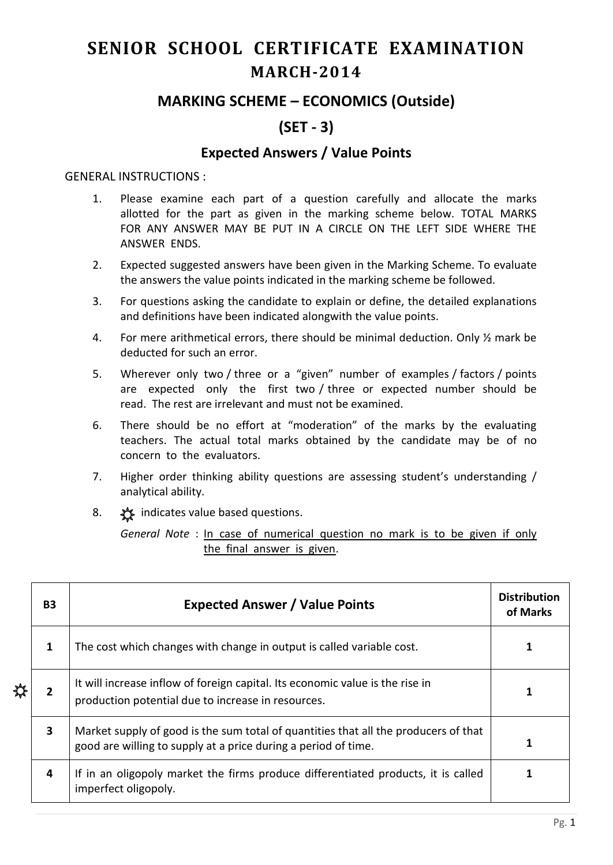# **SENIOR SCHOOL CERTIFICATE EXAMINATION MARCH-2014**

## **MARKING SCHEME – ECONOMICS (Outside)**

## **(SET - 3)**

### **Expected Answers / Value Points**

#### GENERAL INSTRUCTIONS :

- 1. Please examine each part of a question carefully and allocate the marks allotted for the part as given in the marking scheme below. TOTAL MARKS FOR ANY ANSWER MAY BE PUT IN A CIRCLE ON THE LEFT SIDE WHERE THE ANSWER ENDS.
- 2. Expected suggested answers have been given in the Marking Scheme. To evaluate the answers the value points indicated in the marking scheme be followed.
- 3. For questions asking the candidate to explain or define, the detailed explanations and definitions have been indicated alongwith the value points.
- 4. For mere arithmetical errors, there should be minimal deduction. Only ½ mark be deducted for such an error.
- 5. Wherever only two / three or a "given" number of examples / factors / points are expected only the first two / three or expected number should be read. The rest are irrelevant and must not be examined.
- 6. There should be no effort at "moderation" of the marks by the evaluating teachers. The actual total marks obtained by the candidate may be of no concern to the evaluators.
- 7. Higher order thinking ability questions are assessing student's understanding / analytical ability.
- 8.  $\frac{1}{2}$  indicates value based questions.

*General Note* : In case of numerical question no mark is to be given if only the final answer is given.

|  | <b>B3</b>               | <b>Expected Answer / Value Points</b>                                                                                                                 | <b>Distribution</b><br>of Marks |
|--|-------------------------|-------------------------------------------------------------------------------------------------------------------------------------------------------|---------------------------------|
|  | 1                       | The cost which changes with change in output is called variable cost.                                                                                 |                                 |
|  | 2                       | It will increase inflow of foreign capital. Its economic value is the rise in<br>production potential due to increase in resources.                   |                                 |
|  | $\overline{\mathbf{3}}$ | Market supply of good is the sum total of quantities that all the producers of that<br>good are willing to supply at a price during a period of time. |                                 |
|  | 4                       | If in an oligopoly market the firms produce differentiated products, it is called<br>imperfect oligopoly.                                             |                                 |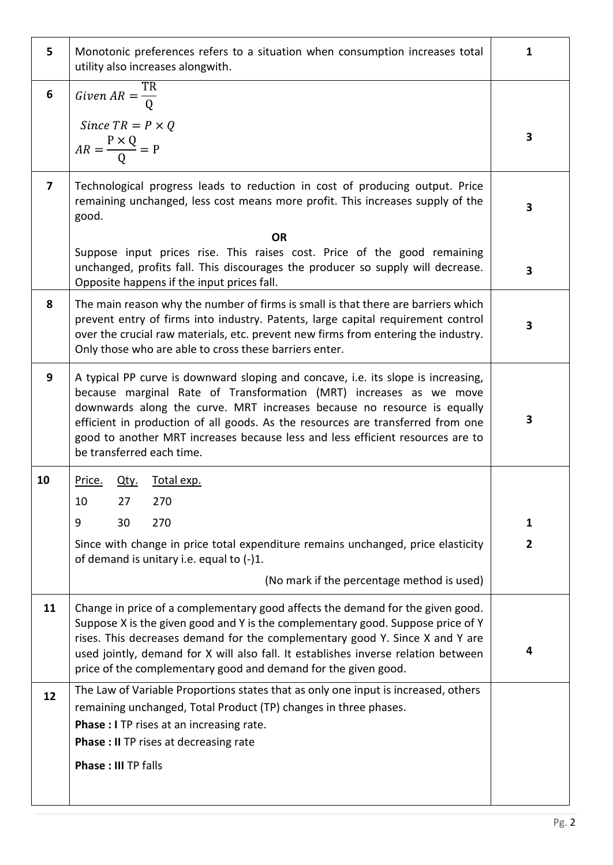| 5              | Monotonic preferences refers to a situation when consumption increases total<br>utility also increases alongwith.                                                                                                                                                                                                                                                                                                                    | 1                   |  |  |  |  |  |  |
|----------------|--------------------------------------------------------------------------------------------------------------------------------------------------------------------------------------------------------------------------------------------------------------------------------------------------------------------------------------------------------------------------------------------------------------------------------------|---------------------|--|--|--|--|--|--|
| 6              | Given $AR = \frac{TR}{Q}$                                                                                                                                                                                                                                                                                                                                                                                                            |                     |  |  |  |  |  |  |
|                | Since $TR = P \times Q$<br>$AR = \frac{P \times Q}{Q} = P$                                                                                                                                                                                                                                                                                                                                                                           |                     |  |  |  |  |  |  |
| $\overline{7}$ | Technological progress leads to reduction in cost of producing output. Price<br>remaining unchanged, less cost means more profit. This increases supply of the<br>good.                                                                                                                                                                                                                                                              |                     |  |  |  |  |  |  |
|                | <b>OR</b><br>Suppose input prices rise. This raises cost. Price of the good remaining<br>unchanged, profits fall. This discourages the producer so supply will decrease.<br>Opposite happens if the input prices fall.                                                                                                                                                                                                               |                     |  |  |  |  |  |  |
| 8              | The main reason why the number of firms is small is that there are barriers which<br>prevent entry of firms into industry. Patents, large capital requirement control<br>over the crucial raw materials, etc. prevent new firms from entering the industry.<br>Only those who are able to cross these barriers enter.                                                                                                                | 3                   |  |  |  |  |  |  |
| 9              | A typical PP curve is downward sloping and concave, i.e. its slope is increasing,<br>because marginal Rate of Transformation (MRT) increases as we move<br>downwards along the curve. MRT increases because no resource is equally<br>efficient in production of all goods. As the resources are transferred from one<br>good to another MRT increases because less and less efficient resources are to<br>be transferred each time. | 3                   |  |  |  |  |  |  |
| 10             | Price. Qty.<br>Total exp.<br>27<br>10<br>270<br>270<br>9<br>30<br>Since with change in price total expenditure remains unchanged, price elasticity<br>of demand is unitary i.e. equal to (-)1.                                                                                                                                                                                                                                       | 1<br>$\overline{2}$ |  |  |  |  |  |  |
|                | (No mark if the percentage method is used)                                                                                                                                                                                                                                                                                                                                                                                           |                     |  |  |  |  |  |  |
| 11             | Change in price of a complementary good affects the demand for the given good.<br>Suppose X is the given good and Y is the complementary good. Suppose price of Y<br>rises. This decreases demand for the complementary good Y. Since X and Y are<br>used jointly, demand for X will also fall. It establishes inverse relation between<br>price of the complementary good and demand for the given good.                            | 4                   |  |  |  |  |  |  |
| 12             | The Law of Variable Proportions states that as only one input is increased, others<br>remaining unchanged, Total Product (TP) changes in three phases.<br>Phase : I TP rises at an increasing rate.<br><b>Phase : II TP rises at decreasing rate</b><br><b>Phase: III TP falls</b>                                                                                                                                                   |                     |  |  |  |  |  |  |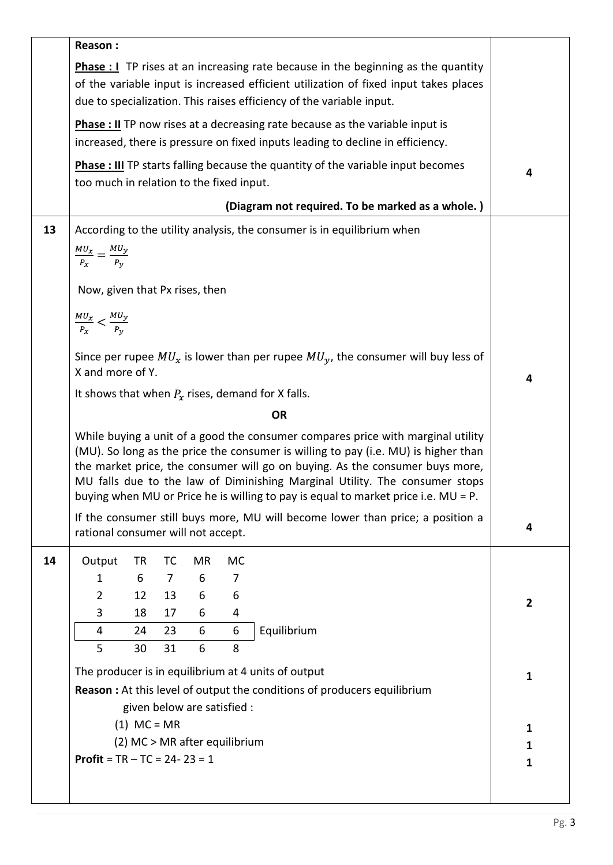|    | Reason:                                                                                                                                                                                                                                                                                                                                                                                                                    |          |                |        |           |                                                                                       |              |  |  |
|----|----------------------------------------------------------------------------------------------------------------------------------------------------------------------------------------------------------------------------------------------------------------------------------------------------------------------------------------------------------------------------------------------------------------------------|----------|----------------|--------|-----------|---------------------------------------------------------------------------------------|--------------|--|--|
|    | <b>Phase :</b> $\bf{I}$ TP rises at an increasing rate because in the beginning as the quantity<br>of the variable input is increased efficient utilization of fixed input takes places<br>due to specialization. This raises efficiency of the variable input.                                                                                                                                                            |          |                |        |           |                                                                                       |              |  |  |
|    | <b>Phase : II</b> TP now rises at a decreasing rate because as the variable input is<br>increased, there is pressure on fixed inputs leading to decline in efficiency.                                                                                                                                                                                                                                                     |          |                |        |           |                                                                                       |              |  |  |
|    | <b>Phase : III</b> TP starts falling because the quantity of the variable input becomes<br>too much in relation to the fixed input.                                                                                                                                                                                                                                                                                        |          |                |        |           |                                                                                       |              |  |  |
|    | (Diagram not required. To be marked as a whole.)                                                                                                                                                                                                                                                                                                                                                                           |          |                |        |           |                                                                                       |              |  |  |
| 13 | $\frac{MU_x}{P_x} = \frac{MU_y}{P_y}$                                                                                                                                                                                                                                                                                                                                                                                      |          |                |        |           | According to the utility analysis, the consumer is in equilibrium when                |              |  |  |
|    | Now, given that Px rises, then                                                                                                                                                                                                                                                                                                                                                                                             |          |                |        |           |                                                                                       |              |  |  |
|    | $\frac{MU_x}{P_x} < \frac{MU_y}{P_y}$                                                                                                                                                                                                                                                                                                                                                                                      |          |                |        |           |                                                                                       |              |  |  |
|    | X and more of Y.                                                                                                                                                                                                                                                                                                                                                                                                           |          |                |        |           | Since per rupee $MU_x$ is lower than per rupee $MU_y$ , the consumer will buy less of | 4            |  |  |
|    |                                                                                                                                                                                                                                                                                                                                                                                                                            |          |                |        |           | It shows that when $P_x$ rises, demand for X falls.                                   |              |  |  |
|    | <b>OR</b>                                                                                                                                                                                                                                                                                                                                                                                                                  |          |                |        |           |                                                                                       |              |  |  |
|    | While buying a unit of a good the consumer compares price with marginal utility<br>(MU). So long as the price the consumer is willing to pay (i.e. MU) is higher than<br>the market price, the consumer will go on buying. As the consumer buys more,<br>MU falls due to the law of Diminishing Marginal Utility. The consumer stops<br>buying when MU or Price he is willing to pay is equal to market price i.e. MU = P. |          |                |        |           |                                                                                       |              |  |  |
|    | If the consumer still buys more, MU will become lower than price; a position a<br>rational consumer will not accept.                                                                                                                                                                                                                                                                                                       |          |                |        |           |                                                                                       | 4            |  |  |
| 14 | Output                                                                                                                                                                                                                                                                                                                                                                                                                     | TR       | <b>TC</b>      | MR     | <b>MC</b> |                                                                                       |              |  |  |
|    | 1                                                                                                                                                                                                                                                                                                                                                                                                                          | 6        | $\overline{7}$ | 6      | 7         |                                                                                       |              |  |  |
|    | $\overline{2}$                                                                                                                                                                                                                                                                                                                                                                                                             | 12       | 13             | 6      | 6         |                                                                                       | $\mathbf{2}$ |  |  |
|    | 3                                                                                                                                                                                                                                                                                                                                                                                                                          | 18       | 17             | 6      | 4         |                                                                                       |              |  |  |
|    | 4<br>5                                                                                                                                                                                                                                                                                                                                                                                                                     | 24<br>30 | 23<br>31       | 6<br>6 | 6<br>8    | Equilibrium                                                                           |              |  |  |
|    |                                                                                                                                                                                                                                                                                                                                                                                                                            |          |                |        |           |                                                                                       |              |  |  |
|    | The producer is in equilibrium at 4 units of output<br><b>Reason:</b> At this level of output the conditions of producers equilibrium<br>given below are satisfied :                                                                                                                                                                                                                                                       |          |                |        |           |                                                                                       | $\mathbf{1}$ |  |  |
|    | $(1)$ MC = MR                                                                                                                                                                                                                                                                                                                                                                                                              |          |                |        |           |                                                                                       |              |  |  |
|    | (2) MC > MR after equilibrium                                                                                                                                                                                                                                                                                                                                                                                              |          |                |        |           |                                                                                       |              |  |  |
|    | <b>Profit</b> = $TR - TC = 24 - 23 = 1$                                                                                                                                                                                                                                                                                                                                                                                    |          |                |        |           |                                                                                       | $\mathbf{1}$ |  |  |
|    |                                                                                                                                                                                                                                                                                                                                                                                                                            |          |                |        |           |                                                                                       |              |  |  |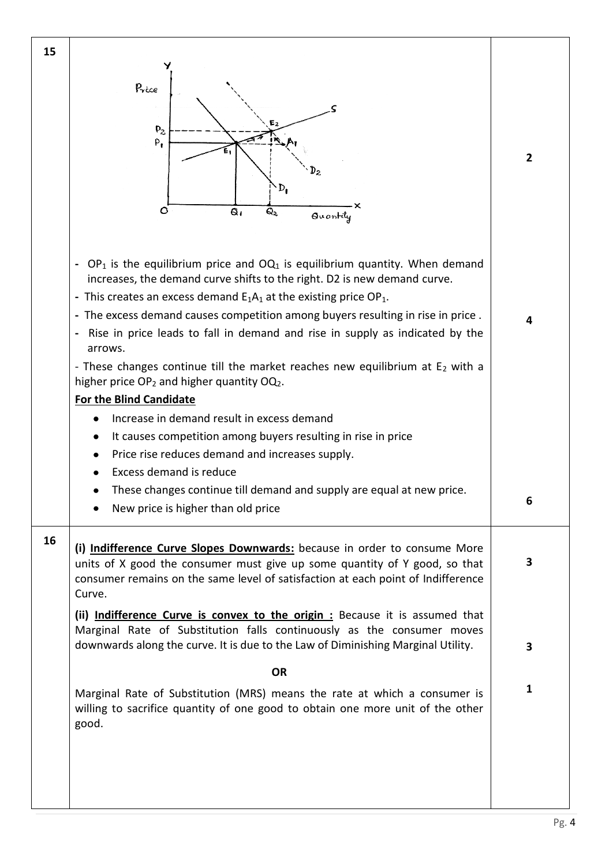| 15 |                                                                                                                                                             |                |  |  |  |  |  |  |
|----|-------------------------------------------------------------------------------------------------------------------------------------------------------------|----------------|--|--|--|--|--|--|
|    |                                                                                                                                                             |                |  |  |  |  |  |  |
|    | Price                                                                                                                                                       |                |  |  |  |  |  |  |
|    |                                                                                                                                                             |                |  |  |  |  |  |  |
|    | $P_{2}$                                                                                                                                                     |                |  |  |  |  |  |  |
|    | $P_{1}$                                                                                                                                                     |                |  |  |  |  |  |  |
|    |                                                                                                                                                             | $\overline{2}$ |  |  |  |  |  |  |
|    |                                                                                                                                                             |                |  |  |  |  |  |  |
|    | $D_{\rm I}$                                                                                                                                                 |                |  |  |  |  |  |  |
|    | $\circ$<br>Q۱<br>Q2<br>Quantily                                                                                                                             |                |  |  |  |  |  |  |
|    |                                                                                                                                                             |                |  |  |  |  |  |  |
|    |                                                                                                                                                             |                |  |  |  |  |  |  |
|    | $OP_1$ is the equilibrium price and $OQ_1$ is equilibrium quantity. When demand<br>$\qquad \qquad \blacksquare$                                             |                |  |  |  |  |  |  |
|    | increases, the demand curve shifts to the right. D2 is new demand curve.                                                                                    |                |  |  |  |  |  |  |
|    | - This creates an excess demand $E_1A_1$ at the existing price OP <sub>1</sub> .                                                                            |                |  |  |  |  |  |  |
|    | - The excess demand causes competition among buyers resulting in rise in price.                                                                             | 4              |  |  |  |  |  |  |
|    | Rise in price leads to fall in demand and rise in supply as indicated by the                                                                                |                |  |  |  |  |  |  |
|    | arrows.                                                                                                                                                     |                |  |  |  |  |  |  |
|    | - These changes continue till the market reaches new equilibrium at $E_2$ with a<br>higher price OP <sub>2</sub> and higher quantity OQ <sub>2</sub> .      |                |  |  |  |  |  |  |
|    |                                                                                                                                                             |                |  |  |  |  |  |  |
|    | <b>For the Blind Candidate</b>                                                                                                                              |                |  |  |  |  |  |  |
|    | Increase in demand result in excess demand                                                                                                                  |                |  |  |  |  |  |  |
|    | It causes competition among buyers resulting in rise in price                                                                                               |                |  |  |  |  |  |  |
|    | Price rise reduces demand and increases supply.<br>Excess demand is reduce                                                                                  |                |  |  |  |  |  |  |
|    | These changes continue till demand and supply are equal at new price.                                                                                       |                |  |  |  |  |  |  |
|    | New price is higher than old price                                                                                                                          | 6              |  |  |  |  |  |  |
|    |                                                                                                                                                             |                |  |  |  |  |  |  |
| 16 |                                                                                                                                                             |                |  |  |  |  |  |  |
|    | (i) Indifference Curve Slopes Downwards: because in order to consume More<br>units of X good the consumer must give up some quantity of Y good, so that     | 3              |  |  |  |  |  |  |
|    | consumer remains on the same level of satisfaction at each point of Indifference                                                                            |                |  |  |  |  |  |  |
|    | Curve.                                                                                                                                                      |                |  |  |  |  |  |  |
|    | (ii) Indifference Curve is convex to the origin: Because it is assumed that                                                                                 |                |  |  |  |  |  |  |
|    | Marginal Rate of Substitution falls continuously as the consumer moves                                                                                      |                |  |  |  |  |  |  |
|    | downwards along the curve. It is due to the Law of Diminishing Marginal Utility.                                                                            | 3              |  |  |  |  |  |  |
|    | <b>OR</b>                                                                                                                                                   |                |  |  |  |  |  |  |
|    |                                                                                                                                                             | 1              |  |  |  |  |  |  |
|    | Marginal Rate of Substitution (MRS) means the rate at which a consumer is<br>willing to sacrifice quantity of one good to obtain one more unit of the other |                |  |  |  |  |  |  |
|    | good.                                                                                                                                                       |                |  |  |  |  |  |  |
|    |                                                                                                                                                             |                |  |  |  |  |  |  |
|    |                                                                                                                                                             |                |  |  |  |  |  |  |
|    |                                                                                                                                                             |                |  |  |  |  |  |  |
|    |                                                                                                                                                             |                |  |  |  |  |  |  |
|    |                                                                                                                                                             |                |  |  |  |  |  |  |

Pg. 4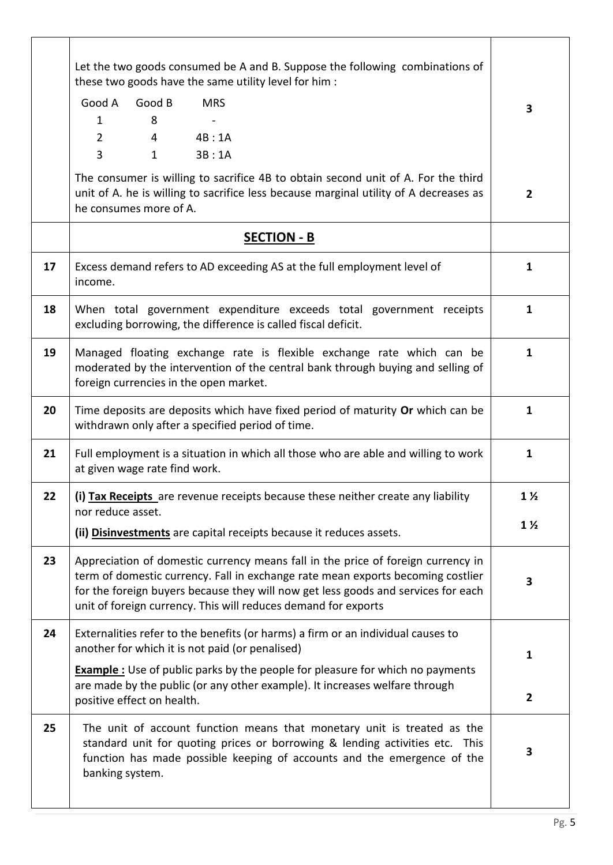|    | Let the two goods consumed be A and B. Suppose the following combinations of<br>these two goods have the same utility level for him :                                                                                                                                                                                      |                |  |  |  |  |
|----|----------------------------------------------------------------------------------------------------------------------------------------------------------------------------------------------------------------------------------------------------------------------------------------------------------------------------|----------------|--|--|--|--|
|    | Good A<br>Good B<br><b>MRS</b><br>8<br>1<br>$\overline{2}$<br>4<br>4B:1A<br>$\overline{3}$<br>$\mathbf{1}$<br>3B:1A                                                                                                                                                                                                        | 3              |  |  |  |  |
|    | The consumer is willing to sacrifice 4B to obtain second unit of A. For the third<br>unit of A. he is willing to sacrifice less because marginal utility of A decreases as<br>he consumes more of A.                                                                                                                       | $\overline{2}$ |  |  |  |  |
|    | <b>SECTION - B</b>                                                                                                                                                                                                                                                                                                         |                |  |  |  |  |
| 17 | Excess demand refers to AD exceeding AS at the full employment level of<br>income.                                                                                                                                                                                                                                         | $\mathbf{1}$   |  |  |  |  |
| 18 | When total government expenditure exceeds total government receipts<br>excluding borrowing, the difference is called fiscal deficit.                                                                                                                                                                                       | $\mathbf{1}$   |  |  |  |  |
| 19 | Managed floating exchange rate is flexible exchange rate which can be<br>moderated by the intervention of the central bank through buying and selling of<br>foreign currencies in the open market.                                                                                                                         | $\mathbf{1}$   |  |  |  |  |
| 20 | Time deposits are deposits which have fixed period of maturity Or which can be<br>withdrawn only after a specified period of time.                                                                                                                                                                                         | $\mathbf{1}$   |  |  |  |  |
| 21 | Full employment is a situation in which all those who are able and willing to work<br>at given wage rate find work.                                                                                                                                                                                                        | $\mathbf{1}$   |  |  |  |  |
| 22 | (i) Tax Receipts are revenue receipts because these neither create any liability<br>nor reduce asset.                                                                                                                                                                                                                      |                |  |  |  |  |
|    | (ii) Disinvestments are capital receipts because it reduces assets.                                                                                                                                                                                                                                                        |                |  |  |  |  |
| 23 | Appreciation of domestic currency means fall in the price of foreign currency in<br>term of domestic currency. Fall in exchange rate mean exports becoming costlier<br>for the foreign buyers because they will now get less goods and services for each<br>unit of foreign currency. This will reduces demand for exports | 3              |  |  |  |  |
| 24 | Externalities refer to the benefits (or harms) a firm or an individual causes to<br>another for which it is not paid (or penalised)                                                                                                                                                                                        |                |  |  |  |  |
|    | <b>Example</b> : Use of public parks by the people for pleasure for which no payments<br>are made by the public (or any other example). It increases welfare through                                                                                                                                                       | 1              |  |  |  |  |
|    | positive effect on health.                                                                                                                                                                                                                                                                                                 | $\overline{2}$ |  |  |  |  |
| 25 | The unit of account function means that monetary unit is treated as the<br>standard unit for quoting prices or borrowing & lending activities etc. This<br>function has made possible keeping of accounts and the emergence of the<br>banking system.                                                                      |                |  |  |  |  |
|    |                                                                                                                                                                                                                                                                                                                            |                |  |  |  |  |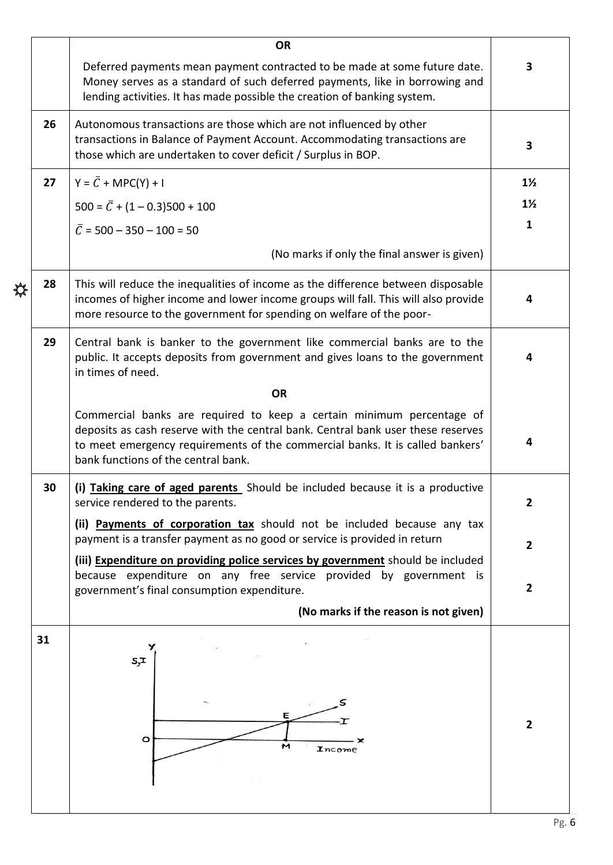|                | <b>OR</b>                                                                                                                                                                                                                                                                         |  |  |  |  |  |  |  |
|----------------|-----------------------------------------------------------------------------------------------------------------------------------------------------------------------------------------------------------------------------------------------------------------------------------|--|--|--|--|--|--|--|
| 3              | Deferred payments mean payment contracted to be made at some future date.<br>Money serves as a standard of such deferred payments, like in borrowing and<br>lending activities. It has made possible the creation of banking system.                                              |  |  |  |  |  |  |  |
| 3              | 26<br>Autonomous transactions are those which are not influenced by other<br>transactions in Balance of Payment Account. Accommodating transactions are<br>those which are undertaken to cover deficit / Surplus in BOP.                                                          |  |  |  |  |  |  |  |
| $1\frac{1}{2}$ | $Y = \overline{C} + \text{MPC}(Y) + I$<br>27                                                                                                                                                                                                                                      |  |  |  |  |  |  |  |
| $1\frac{1}{2}$ | $500 = \overline{C} + (1 - 0.3)500 + 100$                                                                                                                                                                                                                                         |  |  |  |  |  |  |  |
| $\mathbf{1}$   | $\overline{C}$ = 500 – 350 – 100 = 50                                                                                                                                                                                                                                             |  |  |  |  |  |  |  |
|                | (No marks if only the final answer is given)                                                                                                                                                                                                                                      |  |  |  |  |  |  |  |
| 4              | This will reduce the inequalities of income as the difference between disposable<br>28<br>incomes of higher income and lower income groups will fall. This will also provide<br>more resource to the government for spending on welfare of the poor-                              |  |  |  |  |  |  |  |
| 4              | 29<br>Central bank is banker to the government like commercial banks are to the<br>public. It accepts deposits from government and gives loans to the government<br>in times of need.                                                                                             |  |  |  |  |  |  |  |
|                | <b>OR</b>                                                                                                                                                                                                                                                                         |  |  |  |  |  |  |  |
| 4              | Commercial banks are required to keep a certain minimum percentage of<br>deposits as cash reserve with the central bank. Central bank user these reserves<br>to meet emergency requirements of the commercial banks. It is called bankers'<br>bank functions of the central bank. |  |  |  |  |  |  |  |
| $\mathbf{2}$   | (i) Taking care of aged parents Should be included because it is a productive<br>service rendered to the parents.                                                                                                                                                                 |  |  |  |  |  |  |  |
| $\overline{2}$ | (ii) Payments of corporation tax should not be included because any tax<br>payment is a transfer payment as no good or service is provided in return                                                                                                                              |  |  |  |  |  |  |  |
| $\overline{2}$ | (iii) Expenditure on providing police services by government should be included<br>because expenditure on any free service provided by government is<br>government's final consumption expenditure.                                                                               |  |  |  |  |  |  |  |
|                | (No marks if the reason is not given)                                                                                                                                                                                                                                             |  |  |  |  |  |  |  |
| $\mathbf{2}$   | 31<br>5,1<br>Ε<br>Τ<br>o<br>M<br>Income                                                                                                                                                                                                                                           |  |  |  |  |  |  |  |
|                |                                                                                                                                                                                                                                                                                   |  |  |  |  |  |  |  |